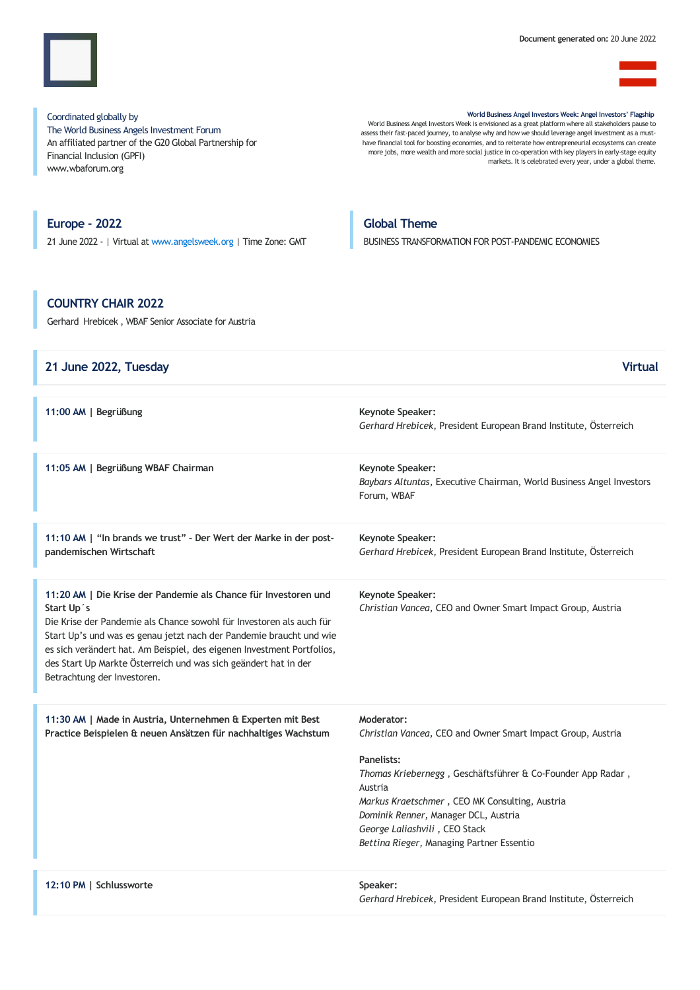

Coordinated globally by The World Business Angels Investment Forum An affiliated partner of the G20 Global Partnership for Financial Inclusion (GPFI) www.wbaforum.org

World Business Angel Investors Week: Angel Investors' Flagship World Business Angel Investors Week is envisioned as a great platform where all stakeholders pause to assess their fast-paced journey, to analyse why and how we should leverage angel investment as a must have financial tool for boosting economies, and to reiterate how entrepreneurial ecosystems can create

more jobs, more wealth and more social justice in co-operation with key players in early-stage equity markets. It is celebrated every year, under a global theme.

Europe - 2022 21 June 2022 - | Virtual at [www.angelsweek.org](https://angelsweek.org/) | Time Zone: GMT

## Global Theme

BUSINESS TRANSFORMATION FOR POST-PANDEMIC ECONOMIES

# COUNTRY CHAIR 2022

Gerhard Hrebicek, WBAF Senior Associate for Austria

| 21 June 2022, Tuesday                                                                                                                                                                                                                                                                                                                                                                                    | <b>Virtual</b>                                                                                                                                                                                                                                                                                                                            |
|----------------------------------------------------------------------------------------------------------------------------------------------------------------------------------------------------------------------------------------------------------------------------------------------------------------------------------------------------------------------------------------------------------|-------------------------------------------------------------------------------------------------------------------------------------------------------------------------------------------------------------------------------------------------------------------------------------------------------------------------------------------|
| 11:00 AM   Begrüßung                                                                                                                                                                                                                                                                                                                                                                                     | Keynote Speaker:<br>Gerhard Hrebicek, President European Brand Institute, Österreich                                                                                                                                                                                                                                                      |
| 11:05 AM   Begrüßung WBAF Chairman                                                                                                                                                                                                                                                                                                                                                                       | Keynote Speaker:<br>Baybars Altuntas, Executive Chairman, World Business Angel Investors<br>Forum, WBAF                                                                                                                                                                                                                                   |
| 11:10 AM   "In brands we trust" - Der Wert der Marke in der post-<br>pandemischen Wirtschaft                                                                                                                                                                                                                                                                                                             | Keynote Speaker:<br>Gerhard Hrebicek, President European Brand Institute, Österreich                                                                                                                                                                                                                                                      |
| 11:20 AM   Die Krise der Pandemie als Chance für Investoren und<br>Start Up's<br>Die Krise der Pandemie als Chance sowohl für Investoren als auch für<br>Start Up's und was es genau jetzt nach der Pandemie braucht und wie<br>es sich verändert hat. Am Beispiel, des eigenen Investment Portfolios,<br>des Start Up Markte Österreich und was sich geändert hat in der<br>Betrachtung der Investoren. | <b>Keynote Speaker:</b><br>Christian Vancea, CEO and Owner Smart Impact Group, Austria                                                                                                                                                                                                                                                    |
| 11:30 AM   Made in Austria, Unternehmen & Experten mit Best<br>Practice Beispielen & neuen Ansätzen für nachhaltiges Wachstum                                                                                                                                                                                                                                                                            | Moderator:<br>Christian Vancea, CEO and Owner Smart Impact Group, Austria<br>Panelists:<br>Thomas Kriebernegg, Geschäftsführer & Co-Founder App Radar,<br>Austria<br>Markus Kraetschmer, CEO MK Consulting, Austria<br>Dominik Renner, Manager DCL, Austria<br>George Laliashvili, CEO Stack<br>Bettina Rieger, Managing Partner Essentio |
| 12:10 PM   Schlussworte                                                                                                                                                                                                                                                                                                                                                                                  | Speaker:<br>Gerhard Hrebicek, President European Brand Institute, Österreich                                                                                                                                                                                                                                                              |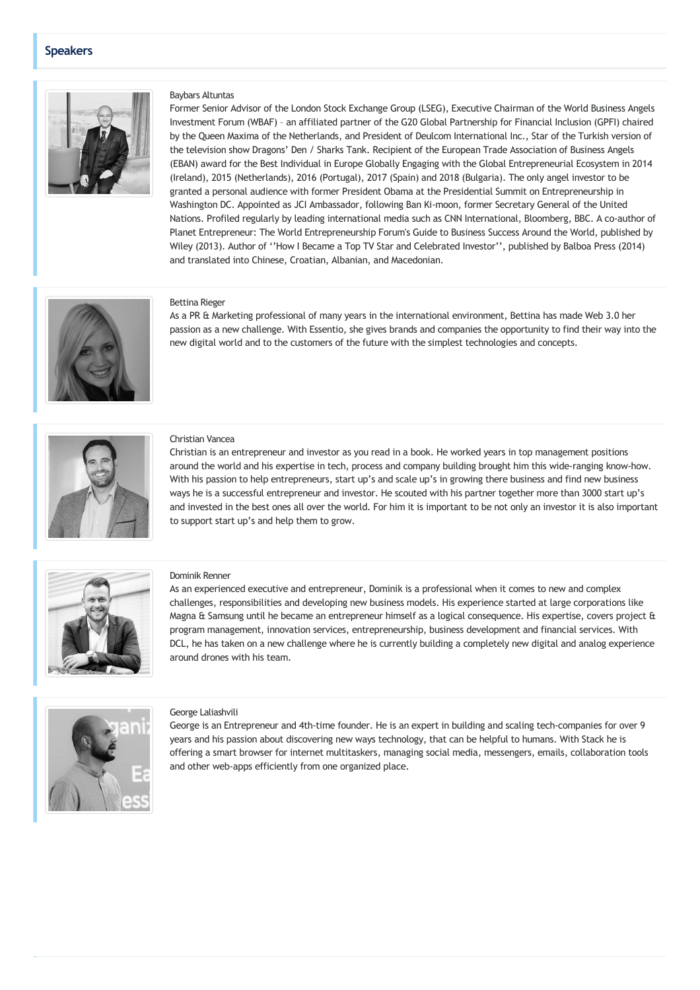## Speakers



## Baybars Altuntas

Former Senior Advisor of the London Stock Exchange Group (LSEG), Executive Chairman of the World Business Angels Investment Forum (WBAF) – an affiliated partner of the G20 Global Partnership for Financial Inclusion (GPFI) chaired by the Queen Maxima of the Netherlands, and President of Deulcom International Inc., Star of the Turkish version of the television show Dragons' Den / Sharks Tank. Recipient of the European Trade Association of Business Angels (EBAN) award for the Best Individual in Europe Globally Engaging with the Global Entrepreneurial Ecosystem in 2014 (Ireland), 2015 (Netherlands), 2016 (Portugal), 2017 (Spain) and 2018 (Bulgaria). The only angel investor to be granted a personal audience with former President Obama at the Presidential Summit on Entrepreneurship in Washington DC. Appointed as JCI Ambassador, following Ban Ki-moon, former Secretary General of the United Nations. Profiled regularly by leading international media such as CNN International, Bloomberg, BBC. A co-author of Planet Entrepreneur: The World Entrepreneurship Forum's Guide to Business Success Around the World, published by Wiley (2013). Author of ''How I Became a Top TV Star and Celebrated Investor'', published by Balboa Press (2014) and translated into Chinese, Croatian, Albanian, and Macedonian.



## Bettina Rieger

As a PR & Marketing professional of many years in the international environment, Bettina has made Web 3.0 her passion as a new challenge. With Essentio, she gives brands and companies the opportunity to find their way into the new digital world and to the customers of the future with the simplest technologies and concepts.



#### Christian Vancea

Christian is an entrepreneur and investor as you read in a book. He worked years in top management positions around the world and his expertise in tech, process and company building brought him this wide-ranging know-how. With his passion to help entrepreneurs, start up's and scale up's in growing there business and find new business ways he is a successful entrepreneur and investor. He scouted with his partner together more than 3000 start up's and invested in the best ones all over the world. For him it is important to be not only an investor it is also important to support start up's and help them to grow.



#### Dominik Renner

As an experienced executive and entrepreneur, Dominik is a professional when it comes to new and complex challenges, responsibilities and developing new business models. His experience started at large corporations like Magna & Samsung until he became an entrepreneur himself as a logical consequence. His expertise, covers project & program management, innovation services, entrepreneurship, business development and financial services. With DCL, he has taken on a new challenge where he is currently building a completely new digital and analog experience around drones with his team.



#### George Laliashvili

George is an Entrepreneur and 4th-time founder. He is an expert in building and scaling tech-companies for over 9 years and his passion about discovering new ways technology, that can be helpful to humans. With Stack he is offering a smart browser for internet multitaskers, managing social media, messengers, emails, collaboration tools and other web-apps efficiently from one organized place.